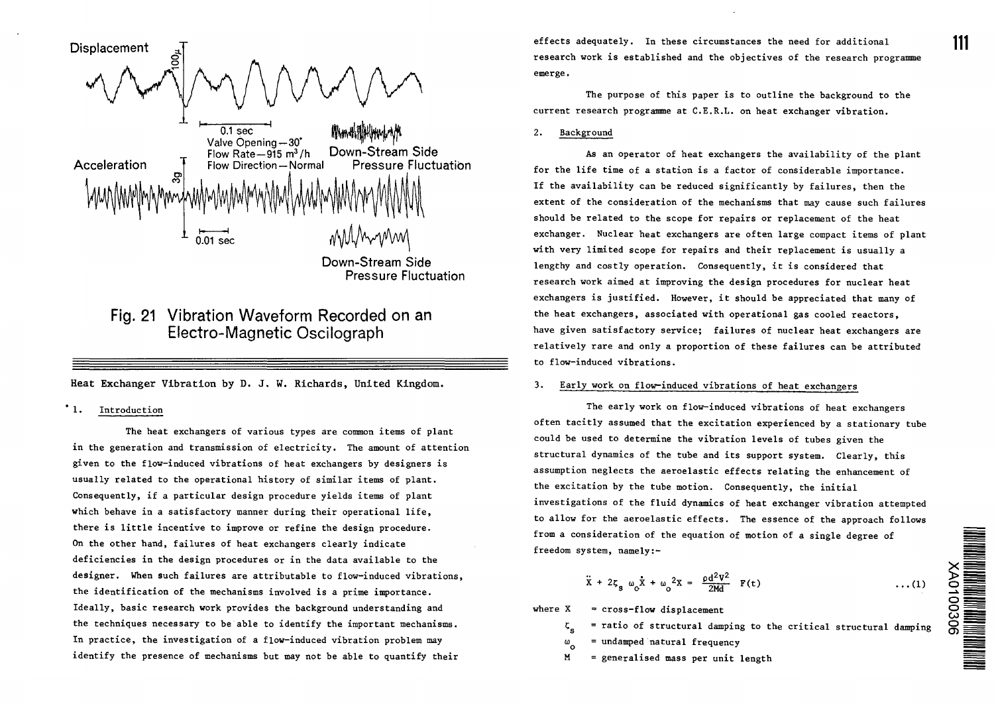

# Fig. 21 Vibration Waveform Recorded on an Electro-Magnetic Oscilograph

Heat Exchanger Vibration by D. J. W. Richards, United Kingdom.

## 1. Introduction

The heat exchangers of various types are common items of plant in the generation and transmission of electricity. The amount of attention given to the flow-induced vibrations of heat exchangers by designers is usually related to the operational history of similar items of plant. Consequently, if a particular design procedure yields items of plant which behave in a satisfactory manner during their operational life, there is little incentive to improve or refine the design procedure. On the other hand, failures of heat exchangers clearly indicate deficiencies in the design procedures or in the data available to the designer. When such failures are attributable to flow-induced vibrations, the identification of the mechanisms involved is a prime importance. Ideally, basic research work provides the background understanding and the techniques necessary to be able to identify the important mechanisms. In practice, the investigation of a flow-induced vibration problem may identify the presence of mechanisms but may not be able to quantify their

effects adequately. In these circumstances the need for additional research work is established and the objectives of the research programme emerge.

The purpose of this paper is to outline the background to the current research programme at C.E.R.L. on heat exchanger vibration.

#### 2. Background

As an operator of heat exchangers the availability of the plant for the life time of a station is a factor of considerable importance. If the availability can be reduced significantly by failures, then the extent of the consideration of the mechanisms that may cause such failures should be related to the scope for repairs or replacement of the heat exchanger. Nuclear heat exchangers are often large compact items of plant with very limited scope for repairs and their replacement is usually a lengthy and costly operation. Consequently, it is considered that research work aimed at improving the design procedures for nuclear heat exchangers is justified. However, it should be appreciated that many of the heat exchangers, associated with operational gas cooled reactors, have given satisfactory service; failures of nuclear heat exchangers are relatively rare and only a proportion of these failures can be attributed to flow-induced vibrations.

### 3. Early work on flow-induced vibrations of heat exchangers

The early work on flow-induced vibrations of heat exchangers often tacitly assumed that the excitation experienced by a stationary tube could be used to determine the vibration levels of tubes given the structural dynamics of the tube and its support system. Clearly, this assumption neglects the aeroelastic effects relating the enhancement of the excitation by the tube motion. Consequently, the initial investigations of the fluid dynamics of heat exchanger vibration attempted to allow for the aeroelastic effects. The essence of the approach follows from a consideration of the equation of motion of a single degree of freedom system, namely:-

$$
\ddot{\mathbf{x}} + 2\mathbf{\zeta}_{\mathbf{s}} \omega_{\mathbf{c}} \dot{\mathbf{x}} + \omega_{\mathbf{c}}^2 \mathbf{X} = \frac{\rho \mathbf{d}^2 \mathbf{V}^2}{2\mathbf{M} \mathbf{d}} \mathbf{F}(\mathbf{t}) \qquad \qquad \dots (1)
$$

where X = cross-flow displacement

- $\cdot$ s = ratio of structural damping to the critical structural damping
- $\omega$ = undamped natural frequency
- o M = generalised mass per unit length

**111**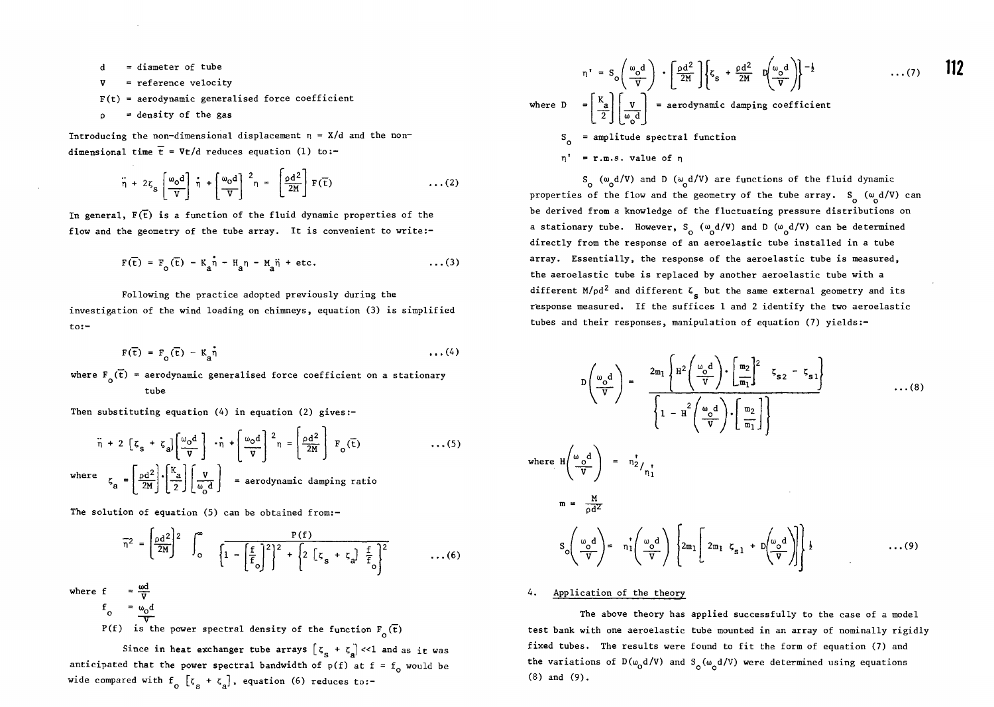- $d = diameter of tube$
- V = reference velocity
- $F(t)$  = aerodynamic generalised force coefficient
- $\rho$  = density of the gas

Introducing the non-dimensional displacement  $\eta = X/d$  and the nondimensional time  $\overline{t}$  = Vt/d reduces equation (1) to:-

$$
\ddot{\eta} + 2\xi_{\mathbf{S}} \left[ \frac{\omega_{\mathbf{O}} d}{\mathbf{V}} \right] \dot{\mathbf{n}} + \left[ \frac{\omega_{\mathbf{O}} d}{\mathbf{V}} \right]^2 \mathbf{n} = \left[ \frac{\rho d^2}{2M} \right] \mathbf{F}(\mathbf{\bar{t}}) \tag{2}
$$

In general,  $F(\overline{t})$  is a function of the fluid dynamic properties of the flow and the geometry of the tube array. It is convenient to write:-

$$
F(\overline{t}) = F_o(\overline{t}) - K_a \dot{\eta} - H_a \eta - M_a \ddot{\eta} + etc.
$$
 (3)

Following the practice adopted previously during the

investigation of the wind loading on chimneys, equation (3) is simplified to:-

$$
F(\overline{t}) = F_o(\overline{t}) - K_a \dot{n}
$$
 ... (4)

where  $F_{\alpha}(\vec{t})$  = aerodynamic generalised force coefficient on a stationary tube

Then substituting equation (4) in equation (2) gives:-

$$
\ddot{\eta} + 2 \left[ \zeta_s + \zeta_d \right] \left[ \frac{\omega_0 d}{v} \right] \cdot \dot{\eta} + \left[ \frac{\omega_0 d}{v} \right]^2 \eta = \left[ \frac{\rho d^2}{2M} \right] F_0(\vec{t}) \tag{5}
$$
  
where 
$$
\zeta_a = \left[ \frac{\rho d^2}{2M} \right] \cdot \left[ \frac{K_a}{2} \right] \left[ \frac{v}{\omega_0 d} \right] = \text{aerodynamic damping ratio}
$$

The solution of equation (5) can be obtained from:-

$$
\overline{n}^2 = \left[\frac{\rho d^2}{2M}\right]^2 \int_0^\infty \left[\frac{F(f)}{1 - \left(\frac{f}{f_0}\right)^2\right]^2 + \left\{2\left[\zeta_s + \zeta_a\right] \frac{f}{f_0}\right\}^2} \qquad \dots (6)
$$

where  $f = \frac{\omega d}{V}$ 

 $f_o = \frac{w_o d}{V}$ 

P(f) is the power spectral density of the function  $F_{0}(\overline{t})$ 

Since in heat exchanger tube arrays  $[\zeta_{\rm s} + \zeta_{\rm s}] << 1$  and as it was anticipated that the power spectral bandwidth of  $p(f)$  at  $f = f_0$  would be wide compared with  $f_{o}$   $[\zeta_{s} + \zeta_{a}]$ , equation (6) reduces to:-

$$
n' = S_o\left(\frac{\omega_o d}{V}\right) \cdot \left[\frac{\rho d^2}{2M}\right] \left\{ \zeta_s + \frac{\rho d^2}{2M} \cdot p\left(\frac{\omega_o d}{V}\right) \right\}^{-\frac{1}{2}} \qquad \qquad \dots (7) \qquad \prod
$$

# where D =  $\begin{bmatrix} x \\ y \\ z \end{bmatrix} \begin{bmatrix} y \\ \omega_d \\ \omega_0 \end{bmatrix}$  = aerodynamic damping coefficient

 $S_{0}$  = amplitude spectral function

 $n' = r.m.s.$  value of  $n$ 

S<sub>o</sub> (w<sub>o</sub>d/V) and D (w<sub>o</sub>d/V) are functions of the fluid dynamic properties of the flow and the geometry of the tube array.  $S^{\alpha\alpha}_{\alpha\beta}(V)$  can be derived from a knowledge of the fluctuating pressure distributions on a stationary tube. However, S<sub>o</sub> ( $\omega$ d/V) and D ( $\omega$ d/V) can be determined directly from the response of an aeroelastic tube installed in a tube array. Essentially, the response of the aeroelastic tube is measured, the aeroelastic tube is replaced by another aeroelastic tube with a different  $M/\rho d^2$  and different  $\zeta_{\rm g}$  but the same external geometry and its response measured. If the suffices 1 and 2 identify the two aeroelastic tubes and their responses, manipulation of equation (7) yields:-

$$
D\left(\frac{\omega_{o}d}{V}\right) = \frac{2m_{1}\left[H^{2}\left(\frac{\omega_{o}d}{V}\right)\cdot\left[\frac{m_{2}}{m_{1}}\right]^{2} \quad \zeta_{s2} - \zeta_{s1}\right]}{\left[1 - H^{2}\left(\frac{\omega_{o}d}{V}\right)\cdot\left[\frac{m_{2}}{m_{1}}\right]\right]}
$$
...(8)  
\nwhere  $H\left(\frac{\omega_{o}d}{V}\right) = n_{2}^{2}/n_{1}^{*}$   
\n
$$
m = \frac{M}{\rho d^{2}}
$$
  
\n
$$
S_{o}\left(\frac{\omega_{o}d}{V}\right) = n_{1}^{*}\left(\frac{\omega_{o}d}{V}\right)\left[2m_{1}\left[2n_{1} \quad \zeta_{s1} + D\left(\frac{\omega_{o}d}{V}\right)\right]\right]\frac{1}{2}
$$
...(9)

### 4. Application of the theory

The above theory has applied successfully to the case of a model test bank with one aeroelastic tube mounted in an array of nominally rigidly fixed tubes. The results were found to fit the form of equation (7) and the variations of  $D(\omega_0 d/V)$  and  $S_0(\omega_0 d/V)$  were determined using equations (8) and (9).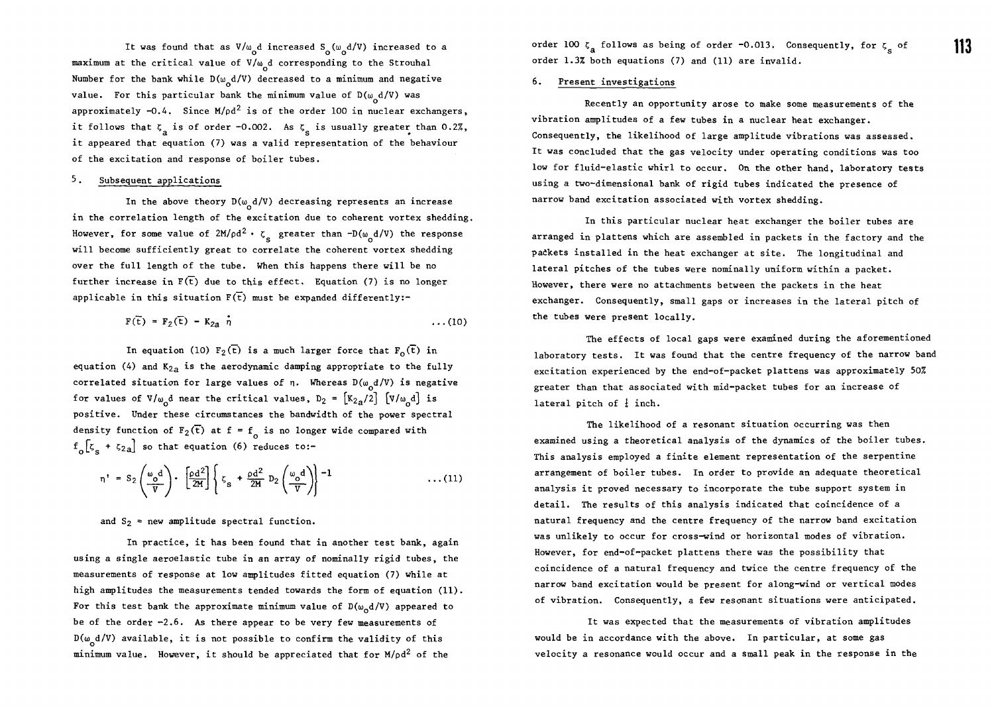It was found that as  $\rm V/\omega_{o}$ d increased S $_{\rm o}$ ( $\rm \omega_{o}$ d/V) increased to a maximum at the critical value of  $V/\omega_d$  corresponding to the Strouhal Number for the bank while  $D(\omega_0 d/V)$  decreased to a minimum and negative value. For this particular bank the minimum value of  $D(\omega_d d/V)$  was approximately  $-0.4$ . Since M/pd<sup>2</sup> is of the order 100 in nuclear exchangers, it follows that  $\zeta$  is of order -0.002. As  $\zeta$  is usually greater than 0.2%, it appeared that equation (7) was a valid representation of the behaviour of the excitation and response of boiler tubes.

### 5. Subsequent applications

In the above theory  $D(\omega_d d/V)$  decreasing represents an increase in the correlation length of the excitation due to coherent vortex shedding. However, for some value of  $2M/\rho d^2 \cdot \zeta$  greater than  $-D(\omega_d d/V)$  the response will become sufficiently great to correlate the coherent vortex shedding over the full length of the tube. When this happens there will be no further increase in  $F(\overline{t})$  due to this effect. Equation (7) is no longer applicable in this situation  $F(\overline{t})$  must be expanded differently:-

$$
F(\bar{t}) = F_2(\bar{t}) - K_{2a} \dot{n} \qquad \qquad \dots (10)
$$

In equation (10)  $F_2(\overline{t})$  is a much larger force that  $F_0(\overline{t})$  in equation (4) and  $K_{2a}$  is the aerodynamic damping appropriate to the fully correlated situation for large values of  $\eta$ . Whereas  $D(\omega_0 d/V)$  is negative for values of  $V/\omega_0 d$  near the critical values,  $D_2 = [K_{2a}/2] [V/\omega_0 d]$  is positive. Under these circumstances the bandwidth of the power spectral density function of  $F_2(\vec{t})$  at  $f = f_0$  is no longer wide compared with  $f_{\alpha}$   $\left| \zeta_{2} + \zeta_{2} \right|$  so that equation (6) reduces to:-

$$
\eta' = S_2 \left( \frac{\omega_0 d}{V} \right) \cdot \left[ \frac{\rho d^2}{2M} \right] \left\{ \zeta_s + \frac{\rho d^2}{2M} D_2 \left( \frac{\omega_0 d}{V} \right) \right\}^{-1} \qquad \qquad \dots (11)
$$

and  $S_2$  = new amplitude spectral function.

In practice, it has been found that in another test bank, again using a single aeroelastic tube in an array of nominally rigid tubes, the measurements of response at low amplitudes fitted equation (7) while at high amplitudes the measurements tended towards the form of equation (11). For this test bank the approximate minimum value of  $D(\omega_0 d/V)$  appeared to be of the order  $-2.6$ . As there appear to be very few measurements of  $D(\omega_d d/V)$  available, it is not possible to confirm the validity of this minimum value. However, it should be appreciated that for  $M/\rho d^2$  of the

order 100  $\zeta$  follows as being of order -0.013. Consequently, for  $\zeta$  of 113 order 1.3% both equations (7) and (11) are invalid.

### 6. Present investigations

Recently an opportunity arose to make some measurements of the vibration amplitudes of a few tubes in a nuclear heat exchanger. Consequently, the likelihood of large amplitude vibrations was assessed. It was concluded that the gas velocity under operating conditions was too low for fluid-elastic whirl to occur. On the other hand, laboratory tests using a two-dimensional bank of rigid tubes indicated the presence of narrow band excitation associated with vortex shedding.

In this particular nuclear heat exchanger the boiler tubes are arranged in plattens which are assembled in packets in the factory and the packets installed in the heat exchanger at site. The longitudinal and lateral pitches of the tubes were nominally uniform within a packet. However, there were no attachments between the packets in the heat exchanger. Consequently, small gaps or increases in the lateral pitch of the tubes were present locally.

The effects of local gaps were examined during the aforementioned laboratory tests. It was found that the centre frequency of the narrow band excitation experienced by the end-of-packet plattens was approximately 50% greater than that associated with mid-packet tubes for an increase of lateral pitch of  $\frac{1}{2}$  inch.

The likelihood of a resonant situation occurring was then examined using a theoretical analysis of the dynamics of the boiler tubes. This analysis employed a finite element representation of the serpentine arrangement of boiler tubes. In order to provide an adequate theoretical analysis it proved necessary to incorporate the tube support system in detail. The results of this analysis indicated that coincidence of a natural frequency and the centre frequency of the narrow band excitation was unlikely to occur for cross-wind or horizontal modes of vibration. However, for end-of-packet plattens there was the possibility that coincidence of a natural frequency and twice the centre frequency of the narrow band excitation would be present for along-wind or vertical modes of vibration. Consequently, a few resonant situations were anticipated.

It was expected that the measurements of vibration amplitudes would be in accordance with the above. In particular, at some gas velocity a resonance would occur and a small peak in the response in the